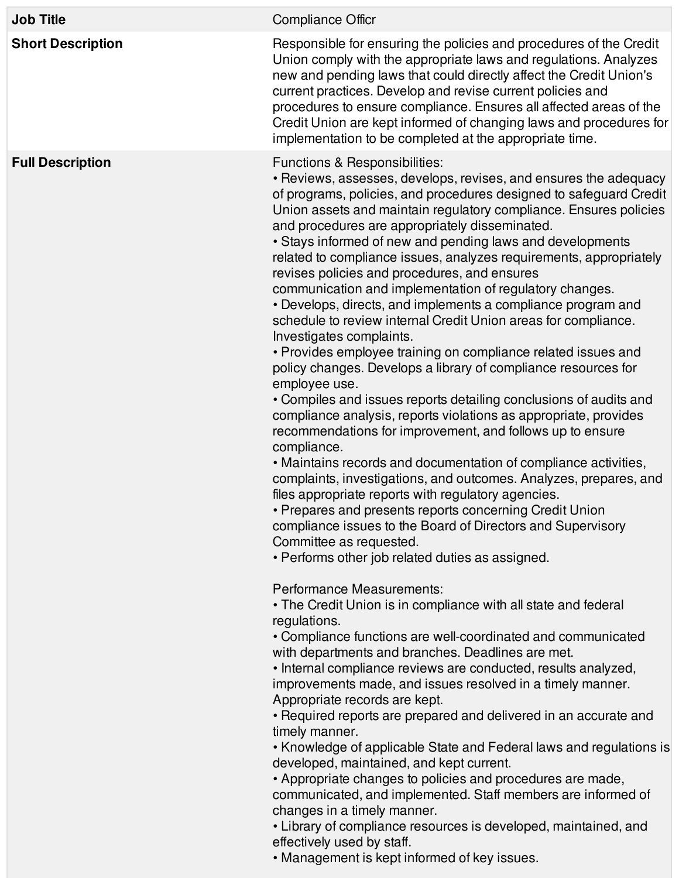| <b>Job Title</b>         | <b>Compliance Officr</b>                                                                                                                                                                                                                                                                                                                                                                                                                                                                                                                                                                                                                                                                                                                                                                                                                                                                                                                                                                                                                                                                                                                                                                                                                                                                                                                                                                                                                                                                    |
|--------------------------|---------------------------------------------------------------------------------------------------------------------------------------------------------------------------------------------------------------------------------------------------------------------------------------------------------------------------------------------------------------------------------------------------------------------------------------------------------------------------------------------------------------------------------------------------------------------------------------------------------------------------------------------------------------------------------------------------------------------------------------------------------------------------------------------------------------------------------------------------------------------------------------------------------------------------------------------------------------------------------------------------------------------------------------------------------------------------------------------------------------------------------------------------------------------------------------------------------------------------------------------------------------------------------------------------------------------------------------------------------------------------------------------------------------------------------------------------------------------------------------------|
| <b>Short Description</b> | Responsible for ensuring the policies and procedures of the Credit<br>Union comply with the appropriate laws and regulations. Analyzes<br>new and pending laws that could directly affect the Credit Union's<br>current practices. Develop and revise current policies and<br>procedures to ensure compliance. Ensures all affected areas of the<br>Credit Union are kept informed of changing laws and procedures for<br>implementation to be completed at the appropriate time.                                                                                                                                                                                                                                                                                                                                                                                                                                                                                                                                                                                                                                                                                                                                                                                                                                                                                                                                                                                                           |
| <b>Full Description</b>  | Functions & Responsibilities:<br>• Reviews, assesses, develops, revises, and ensures the adequacy<br>of programs, policies, and procedures designed to safeguard Credit<br>Union assets and maintain regulatory compliance. Ensures policies<br>and procedures are appropriately disseminated.<br>• Stays informed of new and pending laws and developments<br>related to compliance issues, analyzes requirements, appropriately<br>revises policies and procedures, and ensures<br>communication and implementation of regulatory changes.<br>• Develops, directs, and implements a compliance program and<br>schedule to review internal Credit Union areas for compliance.<br>Investigates complaints.<br>• Provides employee training on compliance related issues and<br>policy changes. Develops a library of compliance resources for<br>employee use.<br>• Compiles and issues reports detailing conclusions of audits and<br>compliance analysis, reports violations as appropriate, provides<br>recommendations for improvement, and follows up to ensure<br>compliance.<br>• Maintains records and documentation of compliance activities,<br>complaints, investigations, and outcomes. Analyzes, prepares, and<br>files appropriate reports with regulatory agencies.<br>• Prepares and presents reports concerning Credit Union<br>compliance issues to the Board of Directors and Supervisory<br>Committee as requested.<br>• Performs other job related duties as assigned. |
|                          | Performance Measurements:<br>• The Credit Union is in compliance with all state and federal<br>regulations.<br>• Compliance functions are well-coordinated and communicated<br>with departments and branches. Deadlines are met.<br>• Internal compliance reviews are conducted, results analyzed,<br>improvements made, and issues resolved in a timely manner.<br>Appropriate records are kept.<br>• Required reports are prepared and delivered in an accurate and<br>timely manner.<br>• Knowledge of applicable State and Federal laws and regulations is<br>developed, maintained, and kept current.<br>• Appropriate changes to policies and procedures are made,<br>communicated, and implemented. Staff members are informed of<br>changes in a timely manner.<br>• Library of compliance resources is developed, maintained, and<br>effectively used by staff.<br>• Management is kept informed of key issues.                                                                                                                                                                                                                                                                                                                                                                                                                                                                                                                                                                    |